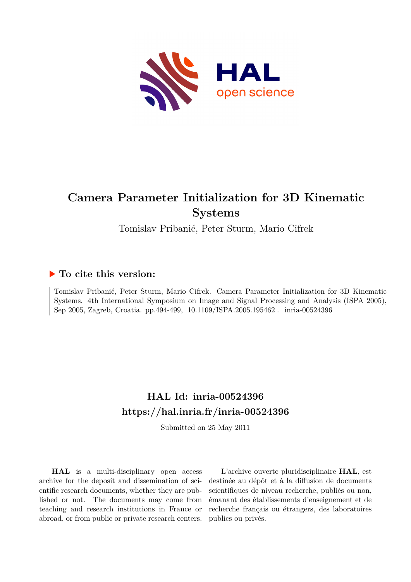

# **Camera Parameter Initialization for 3D Kinematic Systems**

Tomislav Pribanić, Peter Sturm, Mario Cifrek

# **To cite this version:**

Tomislav Pribanić, Peter Sturm, Mario Cifrek. Camera Parameter Initialization for 3D Kinematic Systems. 4th International Symposium on Image and Signal Processing and Analysis (ISPA 2005), Sep 2005, Zagreb, Croatia. pp.494-499,  $10.1109/$ ISPA.2005.195462. inria-00524396

# **HAL Id: inria-00524396 <https://hal.inria.fr/inria-00524396>**

Submitted on 25 May 2011

**HAL** is a multi-disciplinary open access archive for the deposit and dissemination of scientific research documents, whether they are published or not. The documents may come from teaching and research institutions in France or abroad, or from public or private research centers.

L'archive ouverte pluridisciplinaire **HAL**, est destinée au dépôt et à la diffusion de documents scientifiques de niveau recherche, publiés ou non, émanant des établissements d'enseignement et de recherche français ou étrangers, des laboratoires publics ou privés.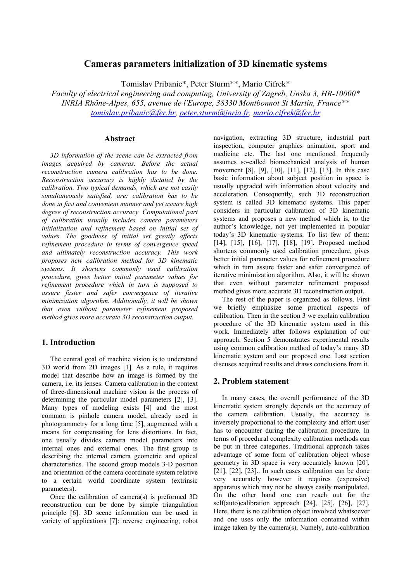# **Cameras parameters initialization of 3D kinematic systems**

Tomislav Pribanic\*, Peter Sturm\*\*, Mario Cifrek\*

*Faculty of electrical engineering and computing, University of Zagreb, Unska 3, HR-10000\* INRIA Rhône-Alpes, 655, avenue de l'Europe, 38330 Montbonnot St Martin, France\*\* [tomislav.pribanic@fer.hr](mailto:Tomislav.pribanic@fer.hr), [peter.sturm@inria.fr,](mailto:peter.sturm@inria.fr) [mario.cifrek@fer.hr](mailto:mario.cifrek@fer.hr)*

### **Abstract**

*3D information of the scene can be extracted from images acquired by cameras. Before the actual reconstruction camera calibration has to be done. Reconstruction accuracy is highly dictated by the calibration. Two typical demands, which are not easily simultaneously satisfied, are: calibration has to be done in fast and convenient manner and yet assure high degree of reconstruction accuracy. Computational part of calibration usually includes camera parameters initialization and refinement based on initial set of values. The goodness of initial set greatly affects refinement procedure in terms of convergence speed and ultimately reconstruction accuracy. This work proposes new calibration method for 3D kinematic systems. It shortens commonly used calibration procedure, gives better initial parameter values for refinement procedure which in turn is supposed to assure faster and safer convergence of iterative minimization algorithm. Additionally, it will be shown that even without parameter refinement proposed method gives more accurate 3D reconstruction output.* 

# **1. Introduction**

The central goal of machine vision is to understand 3D world from 2D images [\[1\]](#page-5-0). As a rule, it requires model that describe how an image is formed by the camera, i.e. its lenses. Camera calibration in the context of three-dimensional machine vision is the process of determining the particular model parameters [\[2\]](#page-5-1), [\[3\]](#page-5-2). Many types of modeling exists [\[4\]](#page-5-3) and the most common is pinhole camera model, already used in photogrammetry for a long time [\[5\]](#page-5-4), augmented with a means for compensating for lens distortions. In fact, one usually divides camera model parameters into internal ones and external ones. The first group is describing the internal camera geometric and optical characteristics. The second group models 3-D position and orientation of the camera coordinate system relative to a certain world coordinate system (extrinsic parameters).

Once the calibration of camera(s) is preformed 3D reconstruction can be done by simple triangulation principle [\[6\]](#page-5-5). 3D scene information can be used in variety of applications [\[7\]](#page-5-6): reverse engineering, robot navigation, extracting 3D structure, industrial part inspection, computer graphics animation, sport and medicine etc. The last one mentioned frequently assumes so-called biomechanical analysis of human movement [\[8\]](#page-6-0), [\[9\]](#page-6-1), [\[10\]](#page-6-2), [\[11\]](#page-6-3), [\[12\]](#page-6-4), [\[13\]](#page-6-5). In this case basic information about subject position in space is usually upgraded with information about velocity and acceleration. Consequently, such 3D reconstruction system is called 3D kinematic systems. This paper considers in particular calibration of 3D kinematic systems and proposes a new method which is, to the author's knowledge, not yet implemented in popular today's 3D kinematic systems. To list few of them: [\[14\]](#page-6-6), [\[15\]](#page-6-7), [\[16\]](#page-6-8), [\[17\]](#page-6-9), [\[18\]](#page-6-10), [\[19\]](#page-6-11). Proposed method shortens commonly used calibration procedure, gives better initial parameter values for refinement procedure which in turn assure faster and safer convergence of iterative minimization algorithm. Also, it will be shown that even without parameter refinement proposed method gives more accurate 3D reconstruction output.

The rest of the paper is organized as follows. First we briefly emphasize some practical aspects of calibration. Then in the section 3 we explain calibration procedure of the 3D kinematic system used in this work. Immediately after follows explanation of our approach. Section 5 demonstrates experimental results using common calibration method of today's many 3D kinematic system and our proposed one. Last section discuses acquired results and draws conclusions from it.

# **2. Problem statement**

In many cases, the overall performance of the 3D kinematic system strongly depends on the accuracy of the camera calibration. Usually, the accuracy is inversely proportional to the complexity and effort user has to encounter during the calibration procedure. In terms of procedural complexity calibration methods can be put in three categories. Traditional approach takes advantage of some form of calibration object whose geometry in 3D space is very accurately known [\[20\]](#page-6-12), [\[21\]](#page-6-13), [\[22\]](#page-6-14), [\[23\]](#page-6-15).. In such cases calibration can be done very accurately however it requires (expensive) apparatus which may not be always easily manipulated. On the other hand one can reach out for the self(auto)calibration approach [\[24\]](#page-6-16), [\[25\]](#page-6-17), [\[26\]](#page-6-18), [\[27\]](#page-6-19). Here, there is no calibration object involved whatsoever and one uses only the information contained within image taken by the camera(s). Namely, auto-calibration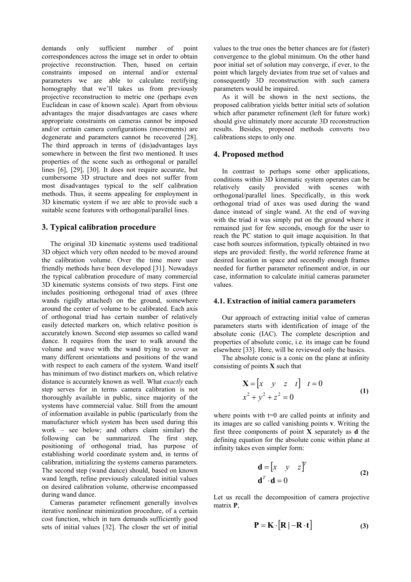demands only sufficient number of point correspondences across the image set in order to obtain projective reconstruction. Then, based on certain constraints imposed on internal and/or external parameters we are able to calculate rectifying homography that we'll takes us from previously projective reconstruction to metric one (perhaps even Euclidean in case of known scale). Apart from obvious advantages the major disadvantages are cases where appropriate constraints on cameras cannot be imposed and/or certain camera configurations (movements) are degenerate and parameters cannot be recovered [\[28\]](#page-6-20). The third approach in terms of (dis)advantages lays somewhere in between the first two mentioned. It uses properties of the scene such as orthogonal or parallel lines [\[6\]](#page-5-5), [\[29\]](#page-6-21), [\[30\]](#page-6-22). It does not require accurate, but cumbersome 3D structure and does not suffer from most disadvantages typical to the self calibration methods. Thus, it seems appealing for employment in 3D kinematic system if we are able to provide such a suitable scene features with orthogonal/parallel lines.

#### **3. Typical calibration procedure**

The original 3D kinematic systems used traditional 3D object which very often needed to be moved around the calibration volume. Over the time more user friendly methods have been developed [\[31\]](#page-6-23). Nowadays the typical calibration procedure of many commercial 3D kinematic systems consists of two steps. First one includes positioning orthogonal triad of axes (three wands rigidly attached) on the ground, somewhere around the center of volume to be calibrated. Each axis of orthogonal triad has certain number of relatively easily detected markers on, which relative position is accurately known. Second step assumes so called wand dance. It requires from the user to walk around the volume and wave with the wand trying to cover as many different orientations and positions of the wand with respect to each camera of the system. Wand itself has minimum of two distinct markers on, which relative distance is accurately known as well. What *exactly* each step serves for in terms camera calibration is not thoroughly available in public, since majority of the systems have commercial value. Still from the amount of information available in public (particularly from the manufacturer which system has been used during this work – see below; and others claim similar) the following can be summarized. The first step, positioning of orthogonal triad, has purpose of establishing world coordinate system and, in terms of calibration, initializing the systems cameras parameters. The second step (wand dance) should, based on known wand length, refine previously calculated initial values on desired calibration volume, otherwise encompassed during wand dance.

Cameras parameter refinement generally involves iterative nonlinear minimization procedure, of a certain cost function, which in turn demands sufficiently good sets of initial values [\[32\]](#page-6-24). The closer the set of initial

values to the true ones the better chances are for (faster) convergence to the global minimum. On the other hand poor initial set of solution may converge, if ever, to the point which largely deviates from true set of values and consequently 3D reconstruction with such camera parameters would be impaired.

As it will be shown in the next sections, the proposed calibration yields better initial sets of solution which after parameter refinement (left for future work) should give ultimately more accurate 3D reconstruction results. Besides, proposed methods converts two calibrations steps to only one.

#### **4. Proposed method**

In contrast to perhaps some other applications, conditions within 3D kinematic system operates can be relatively easily provided with scenes with orthogonal/parallel lines. Specifically, in this work orthogonal triad of axes was used during the wand dance instead of single wand. At the end of waving with the triad it was simply put on the ground where it remained just for few seconds, enough for the user to reach the PC station to quit image acquisition. In that case both sources information, typically obtained in two steps are provided: firstly, the world reference frame at desired location in space and secondly enough frames needed for further parameter refinement and/or, in our case, information to calculate initial cameras parameter values.

#### **4.1. Extraction of initial camera parameters**

Our approach of extracting initial value of cameras parameters starts with identification of image of the absolute conic (IAC). The complete description and properties of absolute conic, i.e. its image can be found elsewhere [\[33\]](#page-6-25). Here, will be reviewed only the basics.

The absolute conic is a conic on the plane at infinity consisting of points **X** such that

$$
\mathbf{X} = \begin{bmatrix} x & y & z & t \end{bmatrix} \quad t = 0
$$
  

$$
x^2 + y^2 + z^2 = 0
$$
 (1)

where points with  $t=0$  are called points at infinity and its images are so called vanishing points **v**. Writing the first three components of point **X** separately as **d** the defining equation for the absolute conic within plane at infinity takes even simpler form:

<span id="page-2-0"></span>
$$
\mathbf{d} = \begin{bmatrix} x & y & z \end{bmatrix}^T
$$
  

$$
\mathbf{d}^T \cdot \mathbf{d} = 0
$$
 (2)

Let us recall the decomposition of camera projective matrix **P**,

<span id="page-2-1"></span>
$$
\mathbf{P} = \mathbf{K} \cdot \left[ \mathbf{R} \mid -\mathbf{R} \cdot \mathbf{t} \right] \tag{3}
$$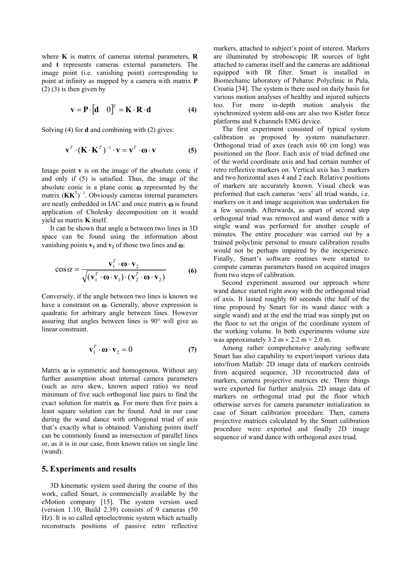where **K** is matrix of cameras internal parameters, **R** and **t** represents cameras external parameters. The image point (i.e. vanishing point) corresponding to point at infinity as mapped by a camera with matrix **P**  $(2)$  [\(3\)](#page-2-1) is then given by

$$
\mathbf{v} = \mathbf{P} \cdot [\mathbf{d} \quad 0]^T = \mathbf{K} \cdot \mathbf{R} \cdot \mathbf{d} \tag{4}
$$

Solving [\(4\)](#page-3-0) for **d** and combining with [\(2\)](#page-2-0) gives:

$$
\mathbf{v}^T \cdot (\mathbf{K} \cdot \mathbf{K}^T)^{-1} \cdot \mathbf{v} = \mathbf{v}^T \cdot \mathbf{\omega} \cdot \mathbf{v}
$$
 (5)

Image point **v** is on the image of the absolute conic if and only if [\(5\)](#page-3-1) is satisfied. Thus, the image of the absolute conic is a plane conic ω represented by the matrix  $(KK<sup>T</sup>)<sup>-1</sup>$ . Obviously cameras internal parameters are neatly embedded in IAC and once matrix  $\omega$  is found application of Cholesky decomposition on it would yield us matrix **K** itself.

It can be shown that angle  $\alpha$  between two lines in 3D space can be found using the information about vanishing points  $v_1$  and  $v_2$  of those two lines and  $\omega$ :

$$
\cos \alpha = \frac{\mathbf{v}_1^T \cdot \mathbf{\omega} \cdot \mathbf{v}_2}{\sqrt{(\mathbf{v}_1^T \cdot \mathbf{\omega} \cdot \mathbf{v}_1) \cdot (\mathbf{v}_2^T \cdot \mathbf{\omega} \cdot \mathbf{v}_2)}}
$$
(6)

Conversely, if the angle between two lines is known we have a constraint on ω. Generally, above expression is quadratic for arbitrary angle between lines. However assuring that angles between lines is 90° will give us linear constraint.

$$
\mathbf{v}_1^T \cdot \mathbf{\omega} \cdot \mathbf{v}_2 = 0 \tag{7}
$$

Matrix  $\omega$  is symmetric and homogenous. Without any further assumption about internal camera parameters (such as zero skew, known aspect ratio) we need minimum of five such orthogonal line pairs to find the exact solution for matrix ω. For more then five pairs a least square solution can be found. And in our case during the wand dance with orthogonal triad of axis that's exactly what is obtained. Vanishing points itself can be commonly found as intersection of parallel lines or, as it is in our case, from known ratios on single line (wand).

#### **5. Experiments and results**

3D kinematic system used during the course of this work, called Smart, is commercially available by the eMotion company [\[15\]](#page-6-7). The system version used (version 1.10, Build 2.39) consists of 9 cameras (50 Hz). It is so called optoelectronic system which actually reconstructs positions of passive retro reflective

markers, attached to subject's point of interest. Markers are illuminated by stroboscopic IR sources of light attached to cameras itself and the cameras are additional equipped with IR filter. Smart is installed in Biomechanic laboratory of Peharec Polyclinic in Pula, Croatia [\[34\]](#page-6-26). The system is there used on daily basis for various motion analyses of healthy and injured subjects too. For more in-depth motion analysis the synchronized system add-ons are also two Kistler force platforms and 8 channels EMG device.

<span id="page-3-1"></span><span id="page-3-0"></span>The first experiment consisted of typical system calibration as proposed by system manufacturer. Orthogonal triad of axes (each axis 60 cm long) was positioned on the floor. Each axis of triad defined one of the world coordinate axis and had certain number of retro reflective markers on. Vertical axis has 3 markers and two horizontal axes 4 and 2 each. Relative positions of markers are accurately known. Visual check was preformed that each cameras 'sees' all triad wands, i.e. markers on it and image acquisition was undertaken for a few seconds. Afterwards, as apart of second step orthogonal triad was removed and wand dance with a single wand was performed for another couple of minutes. The entire procedure was carried out by a trained polyclinic personal to ensure calibration results would not be perhaps impaired by the inexperience. Finally, Smart's software routines were started to compute cameras parameters based on acquired images from two steps of calibration.

Second experiment assumed our approach where wand dance started right away with the orthogonal triad of axis. It lasted roughly 60 seconds (the half of the time proposed by Smart for its wand dance with a single wand) and at the end the triad was simply put on the floor to set the origin of the coordinate system of the working volume. In both experiments volume size was approximately  $3.2 \text{ m} \times 2.2 \text{ m} \times 2.0 \text{ m}$ .

Among rather comprehensive analyzing software Smart has also capability to export/import various data into/from Matlab: 2D image data of markers centroids from acquired sequence, 3D reconstructed data of markers, camera projective matrices etc. Three things were exported for further analysis. 2D image data of markers on orthogonal triad put the floor which otherwise serves for camera parameter initialization in case of Smart calibration procedure. Then, camera projective matrices calculated by the Smart calibration procedure were exported and finally 2D image sequence of wand dance with orthogonal axes triad.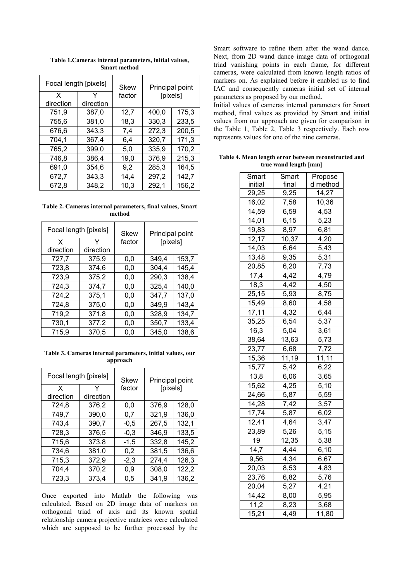| Focal length [pixels] |           | Skew   | Principal point |       |
|-----------------------|-----------|--------|-----------------|-------|
| $\mathsf{x}$          | Y         | factor | [pixels]        |       |
| direction             | direction |        |                 |       |
| 751,9                 | 387,0     | 12,7   | 400,0           | 175,3 |
| 755,6                 | 381,0     | 18,3   | 330,3           | 233,5 |
| 676.6                 | 343,3     | 7,4    | 272,3           | 200,5 |
| 704,1                 | 367,4     | 6,4    | 320,7           | 171,3 |
| 765,2                 | 399,0     | 5.0    | 335,9           | 170,2 |
| 746.8                 | 386,4     | 19,0   | 376,9           | 215,3 |
| 691,0                 | 354,6     | 9,2    | 285,3           | 164,5 |
| 672,7                 | 343,3     | 14.4   | 297,2           | 142,7 |
| 672,8                 | 348,2     | 10,3   | 292,1           | 156,2 |

<span id="page-4-0"></span>**Table 1.Cameras internal parameters, initial values, Smart method** 

<span id="page-4-1"></span>**Table 2. Cameras internal parameters, final values, Smart method** 

| Focal length [pixels] |           | Skew   | Principal point |       |
|-----------------------|-----------|--------|-----------------|-------|
| x<br>direction        | direction | factor | [pixels]        |       |
| 727,7                 | 375,9     | 0,0    | 349,4           | 153,7 |
| 723,8                 | 374,6     | 0.0    | 304,4           | 145,4 |
| 723,9                 | 375,2     | 0,0    | 290,3           | 138,4 |
| 724,3                 | 374,7     | 0,0    | 325,4           | 140,0 |
| 724,2                 | 375.1     | 0,0    | 347,7           | 137,0 |
| 724,8                 | 375,0     | 0,0    | 349.9           | 143,4 |
| 719,2                 | 371,8     | 0,0    | 328,9           | 134.7 |
| 730,1                 | 377,2     | 0,0    | 350,7           | 133,4 |
| 715,9                 | 370,5     | 0,0    | 345,0           | 138,6 |

<span id="page-4-2"></span>**Table 3. Cameras internal parameters, initial values, our approach** 

| Focal length [pixels] |           | Skew   | Principal point |       |
|-----------------------|-----------|--------|-----------------|-------|
| X                     | Y         | factor | [pixels]        |       |
| direction             | direction |        |                 |       |
| 724,8                 | 376,2     | 0.0    | 376,9           | 128,0 |
| 749,7                 | 390,0     | 0,7    | 321,9           | 136,0 |
| 743.4                 | 390,7     | $-0,5$ | 267,5           | 132,1 |
| 728,3                 | 376,5     | $-0,3$ | 346,9           | 133,5 |
| 715,6                 | 373,8     | $-1,5$ | 332,8           | 145,2 |
| 734.6                 | 381,0     | 0,2    | 381,5           | 136,6 |
| 715,3                 | 372,9     | $-2,3$ | 274,4           | 126,3 |
| 704,4                 | 370,2     | 0,9    | 308,0           | 122,2 |
| 723.3                 | 373,4     | 0.5    | 341,9           | 136,2 |

Once exported into Matlab the following was calculated. Based on 2D image data of markers on orthogonal triad of axis and its known spatial relationship camera projective matrices were calculated which are supposed to be further processed by the

Smart software to refine them after the wand dance. Next, from 2D wand dance image data of orthogonal triad vanishing points in each frame, for different cameras, were calculated from known length ratios of markers on. As explained before it enabled us to find IAC and consequently cameras initial set of internal parameters as proposed by our method.

Initial values of cameras internal parameters for Smart method, final values as provided by Smart and initial values from our approach are given for comparison in the [Table 1,](#page-4-0) [Table 2,](#page-4-1) [Table 3](#page-4-2) respectively. Each row represents values for one of the nine cameras.

<span id="page-4-3"></span>**Table 4. Mean length error between reconstructed and true wand length [mm]** 

| Smart   | Smart | Propose        |  |
|---------|-------|----------------|--|
| initial | final | d method       |  |
| 29,25   | 9,25  | 14,27          |  |
| 16,02   | 7,58  | 10,36          |  |
| 14,59   | 6,59  | 4,53           |  |
| 14,01   | 6, 15 | 5,23           |  |
| 19,83   | 8,97  | 6,81           |  |
| 12,17   | 10,37 | 4,20           |  |
| 14,03   | 6,64  | $\frac{5}{43}$ |  |
| 13,48   | 9,35  | 5,31           |  |
| 20,85   | 6,20  | 7,73           |  |
| 17,4    | 4,42  | 4,79           |  |
| 18,3    | 4,42  | 4,50           |  |
| 25, 15  | 5,93  | 8,75           |  |
| 15,49   | 8,60  | 4,58           |  |
| 17, 11  | 4,32  | 6,44           |  |
| 35,25   | 6,54  | 5,37           |  |
| 16,3    | 5,04  | 3,61           |  |
| 38,64   | 13,63 | 5,73           |  |
| 23,77   | 6,68  | 7,72           |  |
| 15,36   | 11,19 | 11,11          |  |
| 15,77   | 5,42  | 6,22           |  |
| 13,8    | 6,06  | 3,65           |  |
| 15,62   | 4,25  | 5,10           |  |
| 24,66   | 5,87  | 5,59           |  |
| 14,28   | 7,42  | 3,57           |  |
| 17,74   | 5,87  | 6,02           |  |
| 12,41   | 4,64  | 3,47           |  |
| 23,89   | 5,26  | 5,15           |  |
| 19      | 12,35 | 5,38           |  |
| 14,7    | 4,44  | 6, 10          |  |
| 9,56    | 4,34  | 6,67           |  |
| 20,03   | 8,53  | 4,83           |  |
| 23,76   | 6,82  | 5,76           |  |
| 20,04   | 5,27  | 4,21           |  |
| 14,42   | 8,00  | 5,95           |  |
| 11,2    | 8,23  | 3,68           |  |
| 15,21   | 4,49  | 11,80          |  |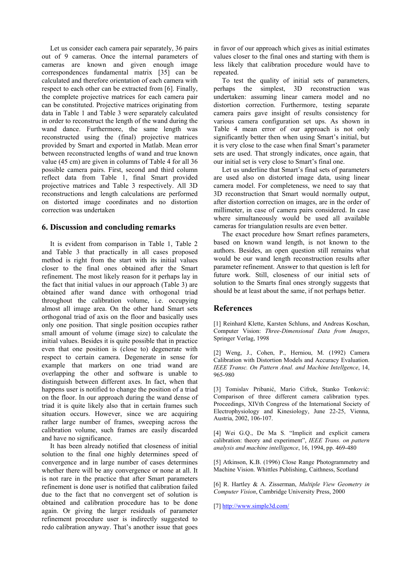Let us consider each camera pair separately, 36 pairs out of 9 cameras. Once the internal parameters of cameras are known and given enough image correspondences fundamental matrix [\[35\]](#page-6-27) can be calculated and therefore orientation of each camera with respect to each other can be extracted from [\[6\]](#page-5-5). Finally, the complete projective matrices for each camera pair can be constituted. Projective matrices originating from data in [Table 1](#page-4-0) and [Table 3](#page-4-2) were separately calculated in order to reconstruct the length of the wand during the wand dance. Furthermore, the same length was reconstructed using the (final) projective matrices provided by Smart and exported in Matlab. Mean error between reconstructed lengths of wand and true known value (45 cm) are given in columns of [Table 4](#page-4-3) for all 36 possible camera pairs. First, second and third column reflect data from [Table 1,](#page-4-0) final Smart provided projective matrices and [Table 3](#page-4-2) respectively. All 3D reconstructions and length calculations are performed on distorted image coordinates and no distortion correction was undertaken

# **6. Discussion and concluding remarks**

It is evident from comparison in [Table 1,](#page-4-0) [Table 2](#page-4-1)  and [Table 3](#page-4-2) that practically in all cases proposed method is right from the start with its initial values closer to the final ones obtained after the Smart refinement. The most likely reason for it perhaps lay in the fact that initial values in our approach ([Table 3\)](#page-4-2) are obtained after wand dance with orthogonal triad throughout the calibration volume, i.e. occupying almost all image area. On the other hand Smart sets orthogonal triad of axis on the floor and basically uses only one position. That single position occupies rather small amount of volume (image size) to calculate the initial values. Besides it is quite possible that in practice even that one position is (close to) degenerate with respect to certain camera. Degenerate in sense for example that markers on one triad wand are overlapping the other and software is unable to distinguish between different axes. In fact, when that happens user is notified to change the position of a triad on the floor. In our approach during the wand dense of triad it is quite likely also that in certain frames such situation occurs. However, since we are acquiring rather large number of frames, sweeping across the calibration volume, such frames are easily discarded and have no significance.

It has been already notified that closeness of initial solution to the final one highly determines speed of convergence and in large number of cases determines whether there will be any convergence or none at all. It is not rare in the practice that after Smart parameters refinement is done user is notified that calibration failed due to the fact that no convergent set of solution is obtained and calibration procedure has to be done again. Or giving the larger residuals of parameter refinement procedure user is indirectly suggested to redo calibration anyway. That's another issue that goes

in favor of our approach which gives as initial estimates values closer to the final ones and starting with them is less likely that calibration procedure would have to repeated.

To test the quality of initial sets of parameters, perhaps the simplest, 3D reconstruction was undertaken: assuming linear camera model and no distortion correction. Furthermore, testing separate camera pairs gave insight of results consistency for various camera configuration set ups. As shown in [Table 4](#page-4-3) mean error of our approach is not only significantly better then when using Smart's initial, but it is very close to the case when final Smart's parameter sets are used. That strongly indicates, once again, that our initial set is very close to Smart's final one.

Let us underline that Smart's final sets of parameters are used also on distorted image data, using linear camera model. For completeness, we need to say that 3D reconstruction that Smart would normally output, after distortion correction on images, are in the order of millimeter, in case of camera pairs considered. In case where simultaneously would be used all available cameras for triangulation results are even better.

The exact procedure how Smart refines parameters, based on known wand length, is not known to the authors. Besides, an open question still remains what would be our wand length reconstruction results after parameter refinement. Answer to that question is left for future work. Still, closeness of our initial sets of solution to the Smarts final ones strongly suggests that should be at least about the same, if not perhaps better.

## **References**

<span id="page-5-0"></span>[1] Reinhard Klette, Karsten Schluns, and Andreas Koschan, Computer Vision: *Three-Dimensional Data from Images*, Springer Verlag, 1998

<span id="page-5-1"></span>[2] Weng, J., Cohen, P., Herniou, M. (1992) Camera Calibration with Distortion Models and Accuracy Evaluation. *IEEE Transc. On Pattern Anal. and Machine Intellgence*, 14, 965-980

<span id="page-5-2"></span>[3] Tomislav Pribanić, Mario Cifrek, Stanko Tonković: Comparison of three different camera calibration types. Proceedings, XIVth Congress of the International Society of Electrophysiology and Kinesiology, June 22-25, Vienna, Austria, 2002, 106-107.

<span id="page-5-3"></span>[4] Wei G.Q., De Ma S. "Implicit and explicit camera calibration: theory and experiment", *IEEE Trans. on pattern analysis and machine intelligence*, 16, 1994, pp. 469-480

<span id="page-5-4"></span>[5] Atkinson, K.B. (1996) Close Range Photogrammetry and Machine Vision. Whittles Publishing, Caithness, Scotland

<span id="page-5-5"></span>[6] R. Hartley & A. Zisserman, *Multiple View Geometry in Computer Vision*, Cambridge University Press, 2000

<span id="page-5-6"></span>[7] <http://www.simple3d.com/>